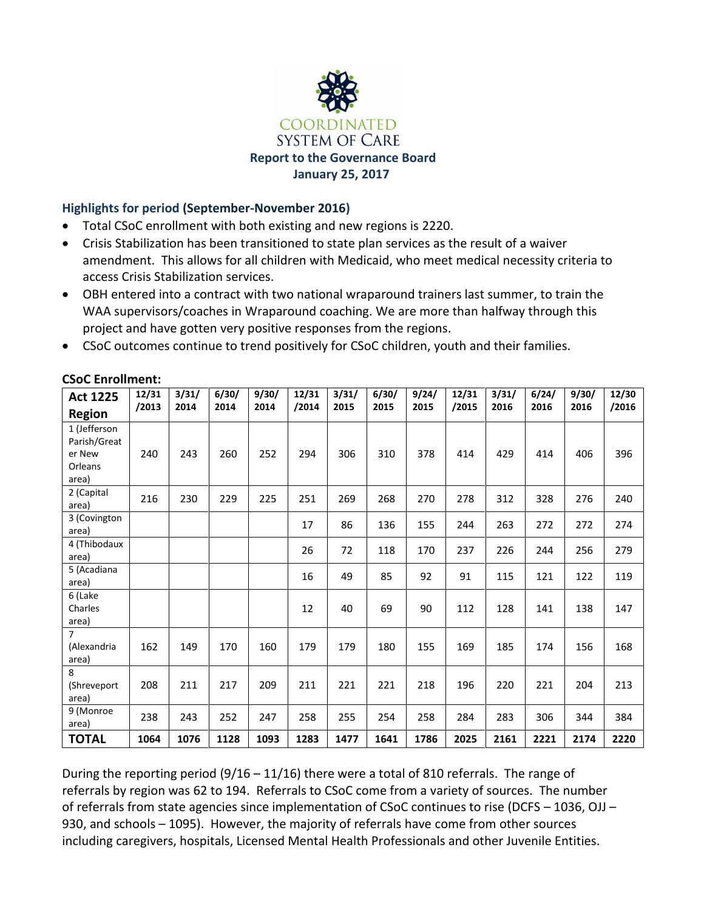

# **Highlights for period (September-November 2016)**

- Total CSoC enrollment with both existing and new regions is 2220.
- Crisis Stabilization has been transitioned to state plan services as the result of a waiver amendment. This allows for all children with Medicaid, who meet medical necessity criteria to access Crisis Stabilization services.
- OBH entered into a contract with two national wraparound trainers last summer, to train the WAA supervisors/coaches in Wraparound coaching. We are more than halfway through this project and have gotten very positive responses from the regions.
- CSoC outcomes continue to trend positively for CSoC children, youth and their families.

| <b>Act 1225</b><br><b>Region</b>                           | 12/31<br>/2013 | 3/31/<br>2014 | 6/30/<br>2014 | 9/30/<br>2014 | 12/31<br>/2014 | 3/31/<br>2015 | 6/30/<br>2015 | 9/24/<br>2015 | 12/31<br>/2015 | 3/31/<br>2016 | 6/24/<br>2016 | 9/30/<br>2016 | 12/30<br>/2016 |
|------------------------------------------------------------|----------------|---------------|---------------|---------------|----------------|---------------|---------------|---------------|----------------|---------------|---------------|---------------|----------------|
| 1 (Jefferson<br>Parish/Great<br>er New<br>Orleans<br>area) | 240            | 243           | 260           | 252           | 294            | 306           | 310           | 378           | 414            | 429           | 414           | 406           | 396            |
| 2 (Capital<br>area)                                        | 216            | 230           | 229           | 225           | 251            | 269           | 268           | 270           | 278            | 312           | 328           | 276           | 240            |
| 3 (Covington<br>area)                                      |                |               |               |               | 17             | 86            | 136           | 155           | 244            | 263           | 272           | 272           | 274            |
| 4 (Thibodaux<br>area)                                      |                |               |               |               | 26             | 72            | 118           | 170           | 237            | 226           | 244           | 256           | 279            |
| 5 (Acadiana<br>area)                                       |                |               |               |               | 16             | 49            | 85            | 92            | 91             | 115           | 121           | 122           | 119            |
| 6 (Lake<br>Charles<br>area)                                |                |               |               |               | 12             | 40            | 69            | 90            | 112            | 128           | 141           | 138           | 147            |
| $\overline{7}$<br>(Alexandria<br>area)                     | 162            | 149           | 170           | 160           | 179            | 179           | 180           | 155           | 169            | 185           | 174           | 156           | 168            |
| 8<br>(Shreveport<br>area)                                  | 208            | 211           | 217           | 209           | 211            | 221           | 221           | 218           | 196            | 220           | 221           | 204           | 213            |
| 9 (Monroe<br>area)                                         | 238            | 243           | 252           | 247           | 258            | 255           | 254           | 258           | 284            | 283           | 306           | 344           | 384            |
| <b>TOTAL</b>                                               | 1064           | 1076          | 1128          | 1093          | 1283           | 1477          | 1641          | 1786          | 2025           | 2161          | 2221          | 2174          | 2220           |

# **CSoC Enrollment:**

During the reporting period (9/16 – 11/16) there were a total of 810 referrals. The range of referrals by region was 62 to 194. Referrals to CSoC come from a variety of sources. The number of referrals from state agencies since implementation of CSoC continues to rise (DCFS – 1036, OJJ – 930, and schools – 1095). However, the majority of referrals have come from other sources including caregivers, hospitals, Licensed Mental Health Professionals and other Juvenile Entities.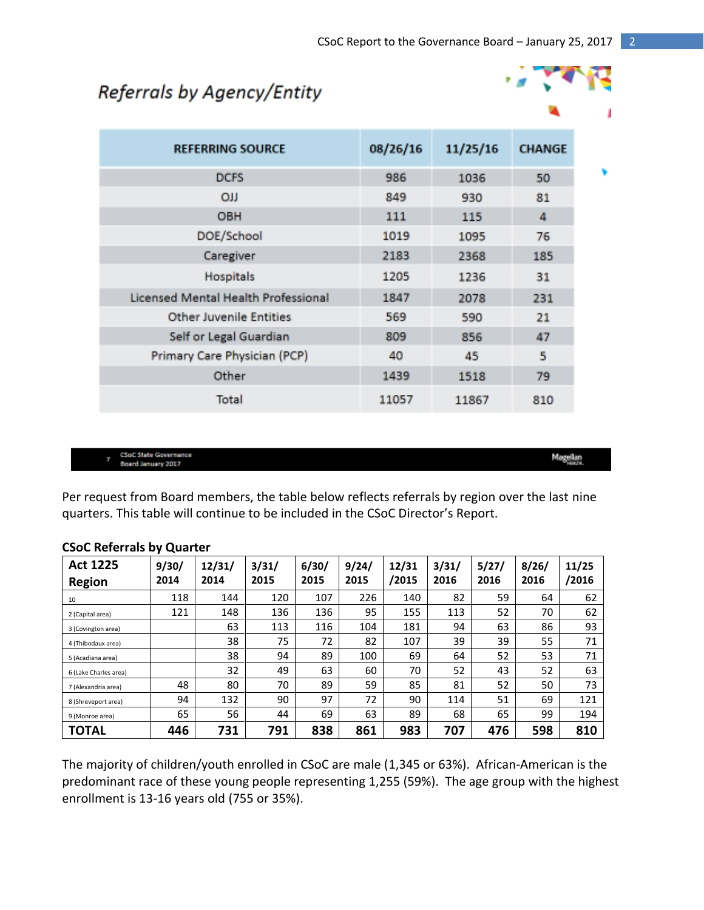# Referrals by Agency/Entity



| <b>REFERRING SOURCE</b>                    | 08/26/16 | 11/25/16 | <b>CHANGE</b> |  |
|--------------------------------------------|----------|----------|---------------|--|
| <b>DCFS</b>                                | 986      | 1036     | 50            |  |
| <b>CU</b>                                  | 849      | 930      | 81            |  |
| <b>OBH</b>                                 | 111      | 115      | 4             |  |
| DOE/School                                 | 1019     | 1095     | 76            |  |
| Caregiver                                  | 2183     | 2368     | 185           |  |
| Hospitals                                  | 1205     | 1236     | 31            |  |
| <b>Licensed Mental Health Professional</b> | 1847     | 2078     | 231           |  |
| <b>Other Juvenile Entities</b>             | 569      | 590      | 21            |  |
| Self or Legal Guardian                     | 809      | 856      | 47            |  |
| Primary Care Physician (PCP)               | 40       | 45       | 5             |  |
| Other                                      | 1439     | 1518     | 79            |  |
| Total                                      | 11057    | 11867    | 810           |  |

**CSoC State Governance Board January 2017** 

Magellan

Per request from Board members, the table below reflects referrals by region over the last nine quarters. This table will continue to be included in the CSoC Director's Report.

#### **Act 1225 Region 9/30/ 2014 12/31/ 2014 3/31/ 2015 6/30/ 2015 9/24/ 2015 12/31 /2015 3/31/ 2016 5/27/ 2016 8/26/ 2016 11/25 /2016** 10 118 144 120 107 226 140 82 59 64 62 2 (Capital area) | 121 | 148 | 136 | 136 | 155 | 113 | 52 | 70 | 62 3 (Covington area) 63 113 116 104 181 94 63 86 93 4 (Thibodaux area) 38 75 72 82 107 39 39 55 71 5 (Acadiana area) 38 94 89 100 69 64 52 53 71 6 (Lake Charles area) 32 49 63 60 70 52 43 52 63 7 (Alexandria area) | 48 | 80 | 70 | 89 | 59 | 85 | 81 | 52 | 50 | 73 8 (Shreveport area) 94 132 90 97 72 90 114 51 69 121 9 (Monroe area) | 65 | 56 | 44 | 69 | 63 | 89 | 68 | 65 | 99 | 194 **TOTAL 446 731 791 838 861 983 707 476 598 810**

# **CSoC Referrals by Quarter**

The majority of children/youth enrolled in CSoC are male (1,345 or 63%). African-American is the predominant race of these young people representing 1,255 (59%). The age group with the highest enrollment is 13-16 years old (755 or 35%).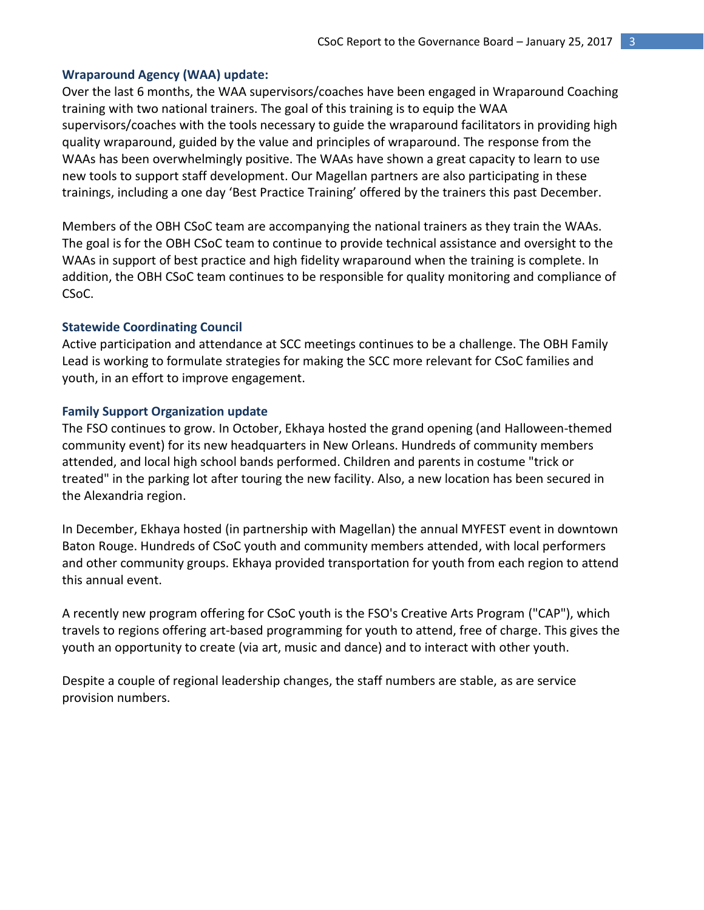## **Wraparound Agency (WAA) update:**

Over the last 6 months, the WAA supervisors/coaches have been engaged in Wraparound Coaching training with two national trainers. The goal of this training is to equip the WAA supervisors/coaches with the tools necessary to guide the wraparound facilitators in providing high quality wraparound, guided by the value and principles of wraparound. The response from the WAAs has been overwhelmingly positive. The WAAs have shown a great capacity to learn to use new tools to support staff development. Our Magellan partners are also participating in these trainings, including a one day 'Best Practice Training' offered by the trainers this past December.

Members of the OBH CSoC team are accompanying the national trainers as they train the WAAs. The goal is for the OBH CSoC team to continue to provide technical assistance and oversight to the WAAs in support of best practice and high fidelity wraparound when the training is complete. In addition, the OBH CSoC team continues to be responsible for quality monitoring and compliance of CSoC.

#### **Statewide Coordinating Council**

Active participation and attendance at SCC meetings continues to be a challenge. The OBH Family Lead is working to formulate strategies for making the SCC more relevant for CSoC families and youth, in an effort to improve engagement.

#### **Family Support Organization update**

The FSO continues to grow. In October, Ekhaya hosted the grand opening (and Halloween-themed community event) for its new headquarters in New Orleans. Hundreds of community members attended, and local high school bands performed. Children and parents in costume "trick or treated" in the parking lot after touring the new facility. Also, a new location has been secured in the Alexandria region.

In December, Ekhaya hosted (in partnership with Magellan) the annual MYFEST event in downtown Baton Rouge. Hundreds of CSoC youth and community members attended, with local performers and other community groups. Ekhaya provided transportation for youth from each region to attend this annual event.

A recently new program offering for CSoC youth is the FSO's Creative Arts Program ("CAP"), which travels to regions offering art-based programming for youth to attend, free of charge. This gives the youth an opportunity to create (via art, music and dance) and to interact with other youth.

Despite a couple of regional leadership changes, the staff numbers are stable, as are service provision numbers.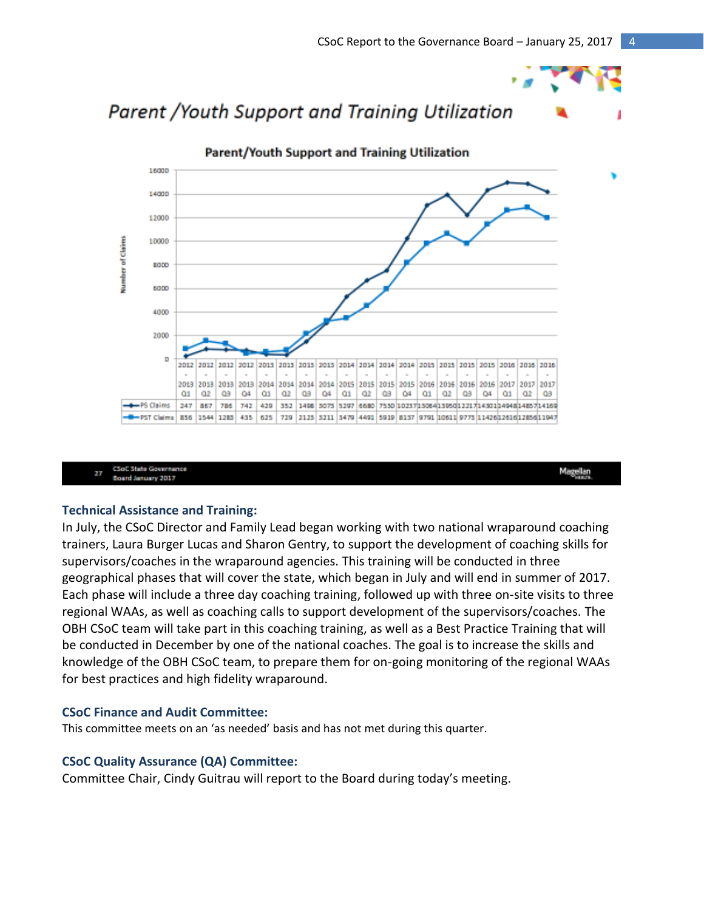



**CSoC State Governance** 27 **Board January 2017** 

Magellan

#### **Technical Assistance and Training:**

In July, the CSoC Director and Family Lead began working with two national wraparound coaching trainers, Laura Burger Lucas and Sharon Gentry, to support the development of coaching skills for supervisors/coaches in the wraparound agencies. This training will be conducted in three geographical phases that will cover the state, which began in July and will end in summer of 2017. Each phase will include a three day coaching training, followed up with three on-site visits to three regional WAAs, as well as coaching calls to support development of the supervisors/coaches. The OBH CSoC team will take part in this coaching training, as well as a Best Practice Training that will be conducted in December by one of the national coaches. The goal is to increase the skills and knowledge of the OBH CSoC team, to prepare them for on-going monitoring of the regional WAAs for best practices and high fidelity wraparound.

#### **CSoC Finance and Audit Committee:**

This committee meets on an 'as needed' basis and has not met during this quarter.

#### **CSoC Quality Assurance (QA) Committee:**

Committee Chair, Cindy Guitrau will report to the Board during today's meeting.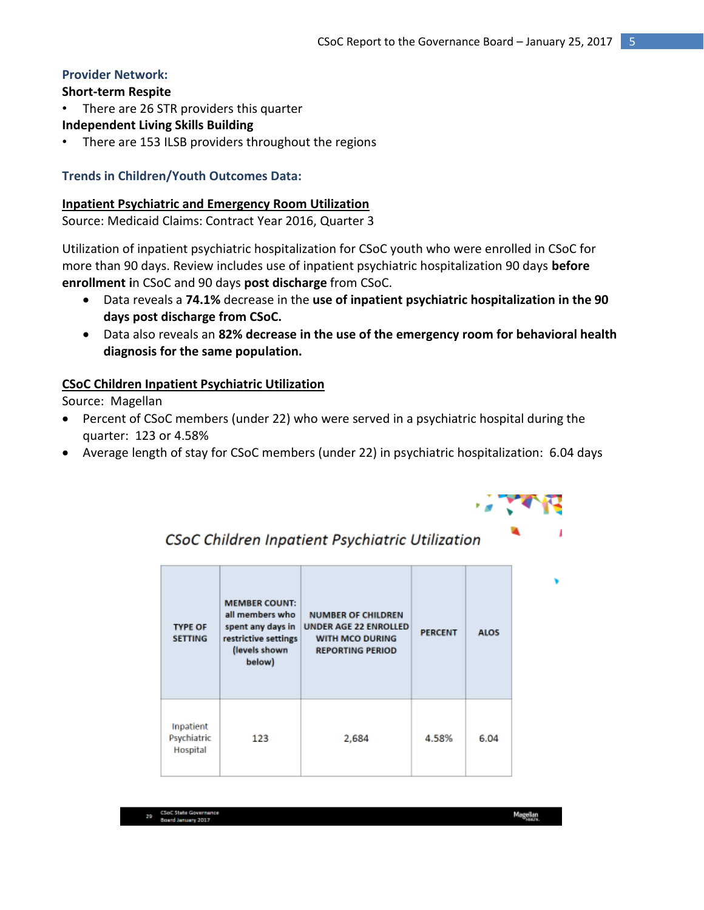# **Provider Network:**

# **Short-term Respite**

• There are 26 STR providers this quarter

**Independent Living Skills Building**

There are 153 ILSB providers throughout the regions

# **Trends in Children/Youth Outcomes Data:**

## **Inpatient Psychiatric and Emergency Room Utilization**

Source: Medicaid Claims: Contract Year 2016, Quarter 3

Utilization of inpatient psychiatric hospitalization for CSoC youth who were enrolled in CSoC for more than 90 days. Review includes use of inpatient psychiatric hospitalization 90 days **before enrollment i**n CSoC and 90 days **post discharge** from CSoC.

- Data reveals a **74.1%** decrease in the **use of inpatient psychiatric hospitalization in the 90 days post discharge from CSoC.**
- Data also reveals an **82% decrease in the use of the emergency room for behavioral health diagnosis for the same population.**

# **CSoC Children Inpatient Psychiatric Utilization**

Source: Magellan

- Percent of CSoC members (under 22) who were served in a psychiatric hospital during the quarter: 123 or 4.58%
- Average length of stay for CSoC members (under 22) in psychiatric hospitalization: 6.04 days



# CSoC Children Inpatient Psychiatric Utilization

| <b>TYPE OF</b><br><b>SETTING</b>     | <b>MEMBER COUNT:</b><br>all members who<br>spent any days in<br>restrictive settings<br>(levels shown<br>below) | <b>NUMBER OF CHILDREN</b><br><b>UNDER AGE 22 ENROLLED</b><br><b>WITH MCO DURING</b><br><b>REPORTING PERIOD</b> | <b>PERCENT</b> | <b>ALOS</b> |
|--------------------------------------|-----------------------------------------------------------------------------------------------------------------|----------------------------------------------------------------------------------------------------------------|----------------|-------------|
| Inpatient<br>Psychiatric<br>Hospital | 123                                                                                                             | 2,684                                                                                                          | 4.58%          | 6.04        |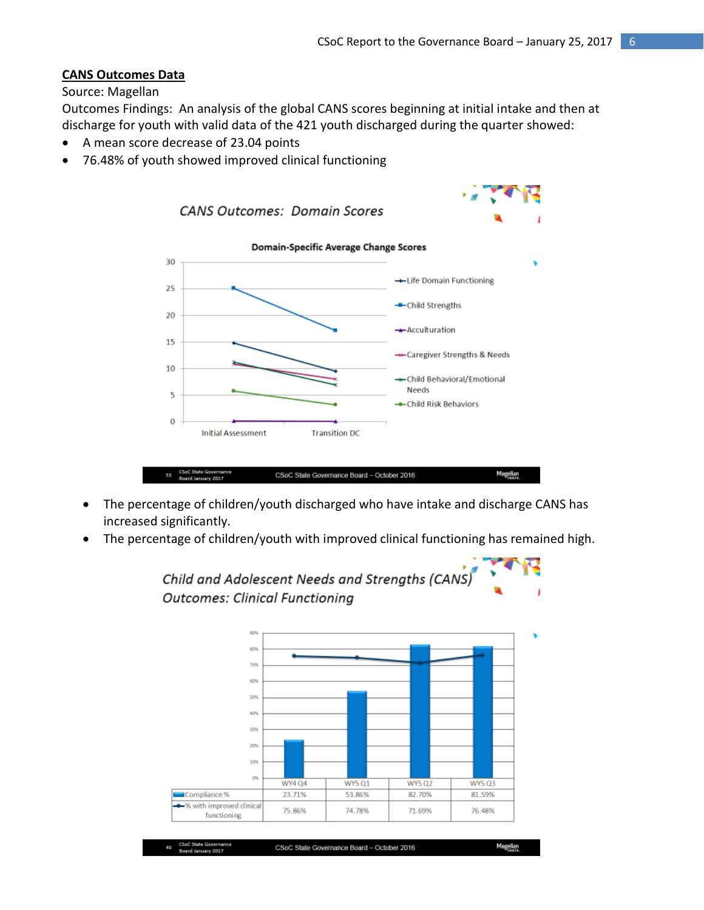# **CANS Outcomes Data**

## Source: Magellan

Outcomes Findings: An analysis of the global CANS scores beginning at initial intake and then at discharge for youth with valid data of the 421 youth discharged during the quarter showed:

- A mean score decrease of 23.04 points
- 76.48% of youth showed improved clinical functioning



- The percentage of children/youth discharged who have intake and discharge CANS has increased significantly.
- The percentage of children/youth with improved clinical functioning has remained high.

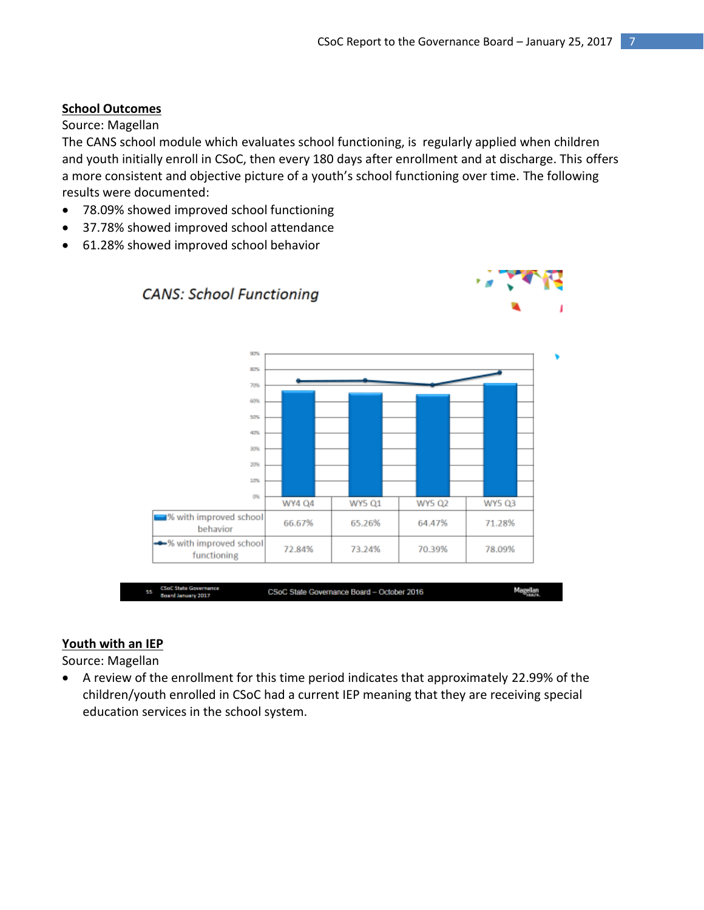# **School Outcomes**

### Source: Magellan

The CANS school module which evaluates school functioning, is regularly applied when children and youth initially enroll in CSoC, then every 180 days after enrollment and at discharge. This offers a more consistent and objective picture of a youth's school functioning over time. The following results were documented:

- 78.09% showed improved school functioning
- 37.78% showed improved school attendance
- 61.28% showed improved school behavior



#### **Youth with an IEP**

Source: Magellan

 A review of the enrollment for this time period indicates that approximately 22.99% of the children/youth enrolled in CSoC had a current IEP meaning that they are receiving special education services in the school system.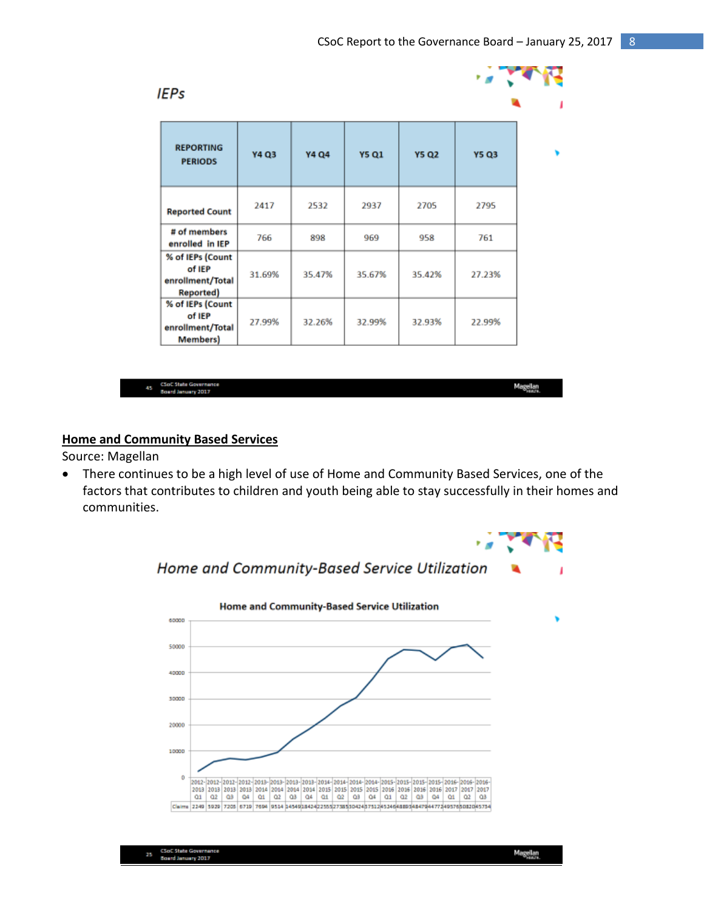

45

Magellan

# **Home and Community Based Services**

Source: Magellan

 There continues to be a high level of use of Home and Community Based Services, one of the factors that contributes to children and youth being able to stay successfully in their homes and communities.